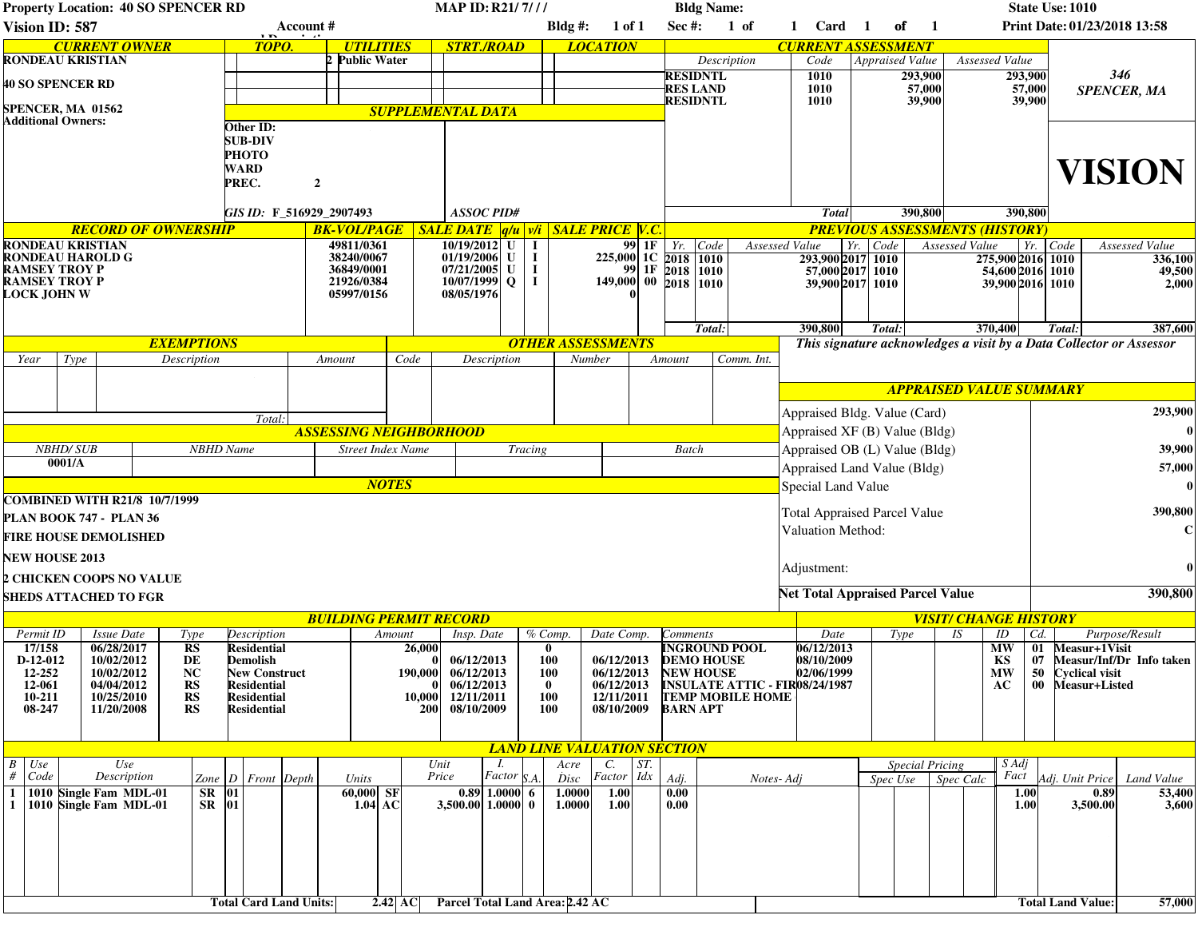| <b>Property Location: 40 SO SPENCER RD</b>                                   |                    |                          |                                                  |                                   |                                              |                          |                  | <b>MAP ID: R21/7///</b>       |                                               |                                 |                                    |                            |                                                                  |                                    | <b>Bldg Name:</b>       |                                                                      |            |                                                           |                                                                     |             |                   |                                      |                                |                                       | <b>State Use: 1010</b>       |                    |                  |                          |  |  |
|------------------------------------------------------------------------------|--------------------|--------------------------|--------------------------------------------------|-----------------------------------|----------------------------------------------|--------------------------|------------------|-------------------------------|-----------------------------------------------|---------------------------------|------------------------------------|----------------------------|------------------------------------------------------------------|------------------------------------|-------------------------|----------------------------------------------------------------------|------------|-----------------------------------------------------------|---------------------------------------------------------------------|-------------|-------------------|--------------------------------------|--------------------------------|---------------------------------------|------------------------------|--------------------|------------------|--------------------------|--|--|
| Vision ID: 587<br>Account #                                                  |                    |                          |                                                  |                                   |                                              |                          |                  |                               |                                               |                                 |                                    |                            | $Bldg$ #:<br>1 of 1                                              |                                    | <b>Sec #:</b><br>$1$ of |                                                                      | 1 Card     |                                                           | оf<br>$\blacksquare$                                                |             |                   |                                      |                                |                                       | Print Date: 01/23/2018 13:58 |                    |                  |                          |  |  |
| <b>CURRENT OWNER</b><br>TOPO.                                                |                    |                          |                                                  |                                   |                                              |                          | <b>UTILITIES</b> |                               |                                               |                                 | <b>STRT./ROAD</b>                  |                            |                                                                  | <b>LOCATION</b>                    |                         |                                                                      |            |                                                           | <b>CURRENT ASSESSMENT</b>                                           |             |                   |                                      |                                |                                       |                              |                    |                  |                          |  |  |
| <b>RONDEAU KRISTIAN</b>                                                      |                    |                          |                                                  |                                   |                                              | 2 Public Water           |                  |                               |                                               |                                 |                                    |                            |                                                                  | Description                        |                         |                                                                      | Code       |                                                           | <b>Appraised Value</b>                                              |             |                   | Assessed Value                       |                                |                                       |                              |                    |                  |                          |  |  |
| <b>40 SO SPENCER RD</b>                                                      |                    |                          |                                                  |                                   |                                              |                          |                  |                               |                                               |                                 |                                    |                            |                                                                  |                                    | <b>RES LAND</b>         | <b>RESIDNTL</b>                                                      |            | 1010<br>1010                                              |                                                                     |             | 293,900<br>57,000 |                                      |                                | 293,900<br>57,000                     |                              | 346                |                  |                          |  |  |
|                                                                              |                    |                          |                                                  |                                   |                                              |                          |                  |                               |                                               |                                 |                                    |                            |                                                                  |                                    |                         | <b>RESIDNTL</b>                                                      |            | 1010                                                      |                                                                     |             | 39,900            |                                      |                                | 39,900                                |                              | <b>SPENCER, MA</b> |                  |                          |  |  |
| SPENCER, MA 01562<br><b>Additional Owners:</b>                               |                    |                          |                                                  |                                   |                                              |                          |                  |                               |                                               |                                 | <b>SUPPLEMENTAL DATA</b>           |                            |                                                                  |                                    |                         |                                                                      |            |                                                           |                                                                     |             |                   |                                      |                                |                                       |                              |                    |                  |                          |  |  |
| Other ID:<br><b>SUB-DIV</b>                                                  |                    |                          |                                                  |                                   |                                              |                          |                  |                               |                                               |                                 |                                    |                            |                                                                  |                                    |                         |                                                                      |            |                                                           |                                                                     |             |                   |                                      |                                |                                       |                              |                    |                  |                          |  |  |
|                                                                              |                    |                          |                                                  |                                   | РНОТО                                        |                          |                  |                               |                                               |                                 |                                    |                            |                                                                  |                                    |                         |                                                                      |            |                                                           |                                                                     |             |                   |                                      |                                |                                       |                              |                    |                  |                          |  |  |
|                                                                              |                    |                          |                                                  |                                   | WARD                                         |                          |                  |                               |                                               |                                 |                                    |                            |                                                                  |                                    |                         |                                                                      |            |                                                           |                                                                     |             |                   |                                      |                                |                                       |                              |                    |                  |                          |  |  |
| PREC.                                                                        |                    |                          |                                                  |                                   |                                              |                          | $\boldsymbol{2}$ |                               |                                               |                                 |                                    |                            |                                                                  |                                    |                         |                                                                      |            |                                                           |                                                                     |             |                   |                                      |                                |                                       |                              | <b>VISION</b>      |                  |                          |  |  |
|                                                                              |                    |                          |                                                  |                                   |                                              |                          |                  |                               |                                               |                                 | <b>ASSOC PID#</b>                  |                            |                                                                  |                                    |                         |                                                                      |            |                                                           | <b>Total</b>                                                        |             | 390,800           |                                      |                                | 390,800                               |                              |                    |                  |                          |  |  |
| GIS ID: F 516929 2907493<br><b>RECORD OF OWNERSHIP</b><br><b>BK-VOL/PAGE</b> |                    |                          |                                                  |                                   |                                              |                          |                  |                               |                                               |                                 |                                    |                            | <b>SALE DATE</b> $ q/u $ $v/i$   <b>SALE PRICE</b>   <b>V.C.</b> |                                    |                         |                                                                      |            |                                                           |                                                                     |             |                   |                                      |                                | <b>PREVIOUS ASSESSMENTS (HISTORY)</b> |                              |                    |                  |                          |  |  |
| RONDEAU KRISTIAN                                                             |                    |                          |                                                  |                                   |                                              | 49811/0361               |                  |                               |                                               | 10/19/2012<br>U                 |                                    |                            |                                                                  | $99$ 1F                            | $Yr$ .<br>Code          |                                                                      |            | Assessed Value                                            | $Yr.$ Code                                                          |             | Assessed Value    |                                      |                                | Yr. Code                              | Assessed Value               |                    |                  |                          |  |  |
| RONDEAU HAROLD G                                                             |                    |                          |                                                  |                                   |                                              | 38240/0067               |                  |                               |                                               | 01/19/2006 U<br>1               |                                    |                            | 225,000 1C 2018                                                  |                                    |                         | 1010                                                                 |            | 293,900 2017 1010<br>57,000 2017 1010<br>39,900 2017 1010 |                                                                     |             |                   | 275,900 2016 1010                    |                                |                                       |                              |                    | 336,100          |                          |  |  |
| RAMSEY TROY P<br><b>RAMSEY TROY P</b>                                        |                    |                          |                                                  |                                   |                                              | 36849/0001<br>21926/0384 |                  |                               | 07/21/2005<br>U<br>10/07/1999<br>$\mathbf{Q}$ |                                 |                                    | $149,000$ 00 2018          | 1F                                                               | 2018                               | 1010<br>1010            |                                                                      |            |                                                           |                                                                     |             |                   | 54,600 2016 1010<br>39,900 2016 1010 |                                |                                       |                              | 49,500<br>2,000    |                  |                          |  |  |
| LOCK JOHN W                                                                  |                    |                          |                                                  |                                   |                                              |                          |                  | 05997/0156                    |                                               | 08/05/1976                      |                                    | $\mathbf I$                |                                                                  |                                    |                         |                                                                      |            |                                                           |                                                                     |             |                   |                                      |                                |                                       |                              |                    |                  |                          |  |  |
|                                                                              |                    |                          |                                                  |                                   |                                              |                          |                  |                               |                                               |                                 |                                    |                            |                                                                  |                                    |                         |                                                                      |            |                                                           |                                                                     |             |                   |                                      |                                |                                       |                              |                    |                  |                          |  |  |
|                                                                              |                    |                          |                                                  |                                   |                                              |                          |                  |                               |                                               |                                 |                                    |                            |                                                                  |                                    |                         | Total:                                                               |            |                                                           | 390,800                                                             |             | Total:            |                                      |                                | 370,400                               |                              | Total:             |                  | 387,600                  |  |  |
| <b>EXEMPTIONS</b><br>Description                                             |                    |                          |                                                  |                                   |                                              |                          |                  |                               |                                               |                                 |                                    |                            |                                                                  | <b>OTHER ASSESSMENTS</b>           |                         |                                                                      |            |                                                           | This signature acknowledges a visit by a Data Collector or Assessor |             |                   |                                      |                                |                                       |                              |                    |                  |                          |  |  |
| Year                                                                         |                    | Type                     |                                                  |                                   |                                              | Amount                   |                  | Code                          |                                               | Description                     |                                    | Number                     |                                                                  |                                    | Comm. Int.<br>Amount    |                                                                      |            |                                                           |                                                                     |             |                   |                                      |                                |                                       |                              |                    |                  |                          |  |  |
|                                                                              |                    |                          |                                                  |                                   |                                              |                          |                  |                               |                                               |                                 |                                    |                            |                                                                  |                                    |                         |                                                                      |            |                                                           |                                                                     |             |                   |                                      | <b>APPRAISED VALUE SUMMARY</b> |                                       |                              |                    |                  |                          |  |  |
|                                                                              |                    |                          |                                                  |                                   |                                              |                          |                  |                               |                                               |                                 |                                    |                            |                                                                  |                                    |                         |                                                                      |            |                                                           |                                                                     |             |                   |                                      |                                |                                       |                              |                    |                  |                          |  |  |
| Total:                                                                       |                    |                          |                                                  |                                   |                                              |                          |                  |                               |                                               |                                 |                                    |                            |                                                                  |                                    |                         |                                                                      |            | Appraised Bldg. Value (Card)                              |                                                                     |             |                   |                                      |                                |                                       |                              |                    | 293,900          |                          |  |  |
|                                                                              |                    |                          |                                                  |                                   |                                              |                          |                  | <b>ASSESSING NEIGHBORHOOD</b> |                                               |                                 |                                    |                            |                                                                  |                                    |                         |                                                                      |            |                                                           | Appraised XF (B) Value (Bldg)                                       |             |                   |                                      |                                |                                       |                              | 0 <sup>1</sup>     |                  |                          |  |  |
| <b>NBHD/SUB</b><br>0001/A                                                    |                    |                          |                                                  |                                   | <b>NBHD</b> Name<br><b>Street Index Name</b> |                          |                  |                               |                                               | Tracing                         |                                    |                            |                                                                  |                                    | <b>Batch</b>            |                                                                      |            |                                                           | Appraised OB (L) Value (Bldg)                                       |             |                   |                                      |                                |                                       |                              |                    | 39,900           |                          |  |  |
|                                                                              |                    |                          |                                                  |                                   |                                              |                          |                  |                               |                                               |                                 |                                    |                            |                                                                  |                                    |                         |                                                                      |            | Appraised Land Value (Bldg)                               |                                                                     |             |                   |                                      |                                |                                       | 57,000                       |                    |                  |                          |  |  |
| <b>NOTES</b>                                                                 |                    |                          |                                                  |                                   |                                              |                          |                  |                               |                                               |                                 |                                    |                            |                                                                  |                                    |                         |                                                                      |            | Special Land Value                                        |                                                                     |             |                   |                                      |                                |                                       | $\mathbf{0}$                 |                    |                  |                          |  |  |
| <b>COMBINED WITH R21/8 10/7/1999</b>                                         |                    |                          |                                                  |                                   |                                              |                          |                  |                               |                                               |                                 |                                    |                            |                                                                  |                                    |                         |                                                                      |            | <b>Total Appraised Parcel Value</b>                       |                                                                     |             |                   |                                      |                                | 390,800                               |                              |                    |                  |                          |  |  |
| PLAN BOOK 747 - PLAN 36                                                      |                    |                          |                                                  |                                   |                                              |                          |                  |                               |                                               |                                 |                                    |                            |                                                                  |                                    | Valuation Method:       |                                                                      |            |                                                           |                                                                     |             |                   |                                      |                                |                                       | $\mathbf{C}$                 |                    |                  |                          |  |  |
| <b>FIRE HOUSE DEMOLISHED</b>                                                 |                    |                          |                                                  |                                   |                                              |                          |                  |                               |                                               |                                 |                                    |                            |                                                                  |                                    |                         |                                                                      |            |                                                           |                                                                     |             |                   |                                      |                                |                                       |                              |                    |                  |                          |  |  |
| <b>NEW HOUSE 2013</b>                                                        |                    |                          |                                                  |                                   |                                              |                          |                  |                               |                                               |                                 |                                    |                            |                                                                  |                                    |                         |                                                                      |            |                                                           |                                                                     | Adjustment: |                   |                                      |                                |                                       |                              |                    |                  |                          |  |  |
| <b>CHICKEN COOPS NO VALUE</b>                                                |                    |                          |                                                  |                                   |                                              |                          |                  |                               |                                               |                                 |                                    |                            |                                                                  |                                    |                         |                                                                      |            | <b>Net Total Appraised Parcel Value</b>                   |                                                                     |             |                   |                                      |                                |                                       |                              |                    |                  |                          |  |  |
| <b>SHEDS ATTACHED TO FGR</b>                                                 |                    |                          |                                                  |                                   |                                              |                          |                  |                               |                                               |                                 |                                    |                            |                                                                  |                                    |                         |                                                                      |            |                                                           |                                                                     |             |                   |                                      |                                | 390,800                               |                              |                    |                  |                          |  |  |
|                                                                              |                    |                          |                                                  |                                   |                                              |                          |                  |                               | <b>BUILDING PERMIT RECORD</b>                 |                                 |                                    |                            |                                                                  |                                    |                         |                                                                      |            |                                                           |                                                                     |             |                   |                                      | <b>VISIT/ CHANGE HISTORY</b>   |                                       |                              |                    |                  |                          |  |  |
|                                                                              | Permit ID          |                          | <i>Issue Date</i>                                | Type                              | Description                                  |                          |                  |                               | Amount                                        |                                 | Insp. Date                         |                            | % Comp.                                                          | Date Comp.                         |                         | <i>Comments</i>                                                      |            |                                                           | Date                                                                |             | Type              |                                      | IS                             | ID                                    | Cd.                          |                    | Purpose/Result   |                          |  |  |
|                                                                              | 17/158<br>D-12-012 |                          | 06/28/2017<br>10/02/2012                         | RS<br>DE                          | <b>Residential</b><br><b>Demolish</b>        |                          |                  |                               | 26,000                                        |                                 | 06/12/2013                         |                            | 0<br>100                                                         | 06/12/2013                         |                         | <b>DEMO HOUSE</b>                                                    |            | <b>INGROUND POOL</b>                                      | 06/12/2013<br>08/10/2009                                            |             |                   |                                      |                                | <b>MW</b><br>KS                       | 01<br>07                     |                    | Measur+1Visit    | Measur/Inf/Dr Info taken |  |  |
| 12-252                                                                       |                    | 10/02/2012               | NC                                               |                                   | <b>New Construct</b>                         |                          |                  |                               | 190,000 06/12/2013                            |                                 | <b>100</b>                         |                            | 06/12/2013                                                       |                                    | <b>NEW HOUSE</b>        |                                                                      | 02/06/1999 |                                                           |                                                                     |             |                   | <b>MW</b>                            | 50                             | <b>Cyclical visit</b>                 |                              |                    |                  |                          |  |  |
| 12-061<br>10-211                                                             |                    | 04/04/2012<br>10/25/2010 | RS<br><b>Residential</b><br>RS                   |                                   |                                              |                          |                  |                               |                                               | 06/12/2013<br>10,000 12/11/2011 |                                    | $\mathbf{0}$<br><b>100</b> |                                                                  | 12/11/2011                         |                         | 06/12/2013 INSULATE ATTIC - FIR08/24/1987<br><b>TEMP MOBILE HOME</b> |            |                                                           |                                                                     |             |                   |                                      | AC                             |                                       |                              | 00 Measur+Listed   |                  |                          |  |  |
| 08-247                                                                       |                    | 11/20/2008<br>RS         |                                                  | <b>Residential</b><br>Residential |                                              |                          |                  |                               | <b>200</b>                                    | 08/10/2009                      |                                    | 08/10/2009<br><b>100</b>   |                                                                  |                                    | <b>BARN APT</b>         |                                                                      |            |                                                           |                                                                     |             |                   |                                      |                                |                                       |                              |                    |                  |                          |  |  |
|                                                                              |                    |                          |                                                  |                                   |                                              |                          |                  |                               |                                               |                                 |                                    |                            |                                                                  |                                    |                         |                                                                      |            |                                                           |                                                                     |             |                   |                                      |                                |                                       |                              |                    |                  |                          |  |  |
|                                                                              |                    |                          |                                                  |                                   |                                              |                          |                  |                               |                                               |                                 |                                    |                            |                                                                  | <b>LAND LINE VALUATION SECTION</b> |                         |                                                                      |            |                                                           |                                                                     |             |                   |                                      |                                |                                       |                              |                    |                  |                          |  |  |
| B                                                                            | Use                |                          | Use                                              |                                   |                                              |                          |                  |                               |                                               | Unit                            | I.                                 |                            | Acre                                                             | $C$ .                              | ST.                     |                                                                      |            |                                                           |                                                                     |             |                   | <b>Special Pricing</b>               |                                | $S \, Adj$                            |                              |                    |                  |                          |  |  |
| #                                                                            | Code               |                          | Description                                      |                                   | Zone $ D $ Front Depth                       |                          |                  | Units                         |                                               | Price                           | $Factor$ <sub>S.A.</sub>           |                            | Disc                                                             | $Factor$ $Idx$                     |                         | Adj.                                                                 |            | Notes-Adj                                                 |                                                                     |             | Spec Use          |                                      | Spec Calc                      | Fact                                  |                              | Adj. Unit Price    |                  | Land Value               |  |  |
| 1<br>1                                                                       |                    |                          | 1010 Single Fam MDL-01<br>1010 Single Fam MDL-01 | SR<br>$SR$ 01                     | $ 01\rangle$                                 |                          |                  | 60,000 SF<br>$1.04$ AC        |                                               |                                 | 0.89 1.0000 6<br>3,500.00 1.0000 0 |                            | 1.0000<br>1.0000                                                 | 1.00<br>1.00                       |                         | 0.00<br>0.00                                                         |            |                                                           |                                                                     |             |                   |                                      |                                |                                       | 1.00<br>1.00                 |                    | 0.89<br>3,500.00 | 53,400<br>3,600          |  |  |
|                                                                              |                    |                          |                                                  |                                   |                                              |                          |                  |                               |                                               |                                 |                                    |                            |                                                                  |                                    |                         |                                                                      |            |                                                           |                                                                     |             |                   |                                      |                                |                                       |                              |                    |                  |                          |  |  |
|                                                                              |                    |                          |                                                  |                                   |                                              |                          |                  |                               |                                               |                                 |                                    |                            |                                                                  |                                    |                         |                                                                      |            |                                                           |                                                                     |             |                   |                                      |                                |                                       |                              |                    |                  |                          |  |  |
|                                                                              |                    |                          |                                                  |                                   |                                              |                          |                  |                               |                                               |                                 |                                    |                            |                                                                  |                                    |                         |                                                                      |            |                                                           |                                                                     |             |                   |                                      |                                |                                       |                              |                    |                  |                          |  |  |
|                                                                              |                    |                          |                                                  |                                   |                                              |                          |                  |                               |                                               |                                 |                                    |                            |                                                                  |                                    |                         |                                                                      |            |                                                           |                                                                     |             |                   |                                      |                                |                                       |                              |                    |                  |                          |  |  |
|                                                                              |                    |                          |                                                  |                                   |                                              |                          |                  |                               |                                               |                                 |                                    |                            |                                                                  |                                    |                         |                                                                      |            |                                                           |                                                                     |             |                   |                                      |                                |                                       |                              |                    |                  |                          |  |  |
|                                                                              |                    |                          |                                                  |                                   | <b>Total Card Land Units:</b>                |                          |                  |                               | 2.42 $\overline{AC}$                          |                                 | Parcel Total Land Area: 2.42 AC    |                            |                                                                  |                                    |                         |                                                                      |            |                                                           | <b>Total Land Value:</b>                                            |             |                   |                                      |                                |                                       |                              |                    | 57,000           |                          |  |  |